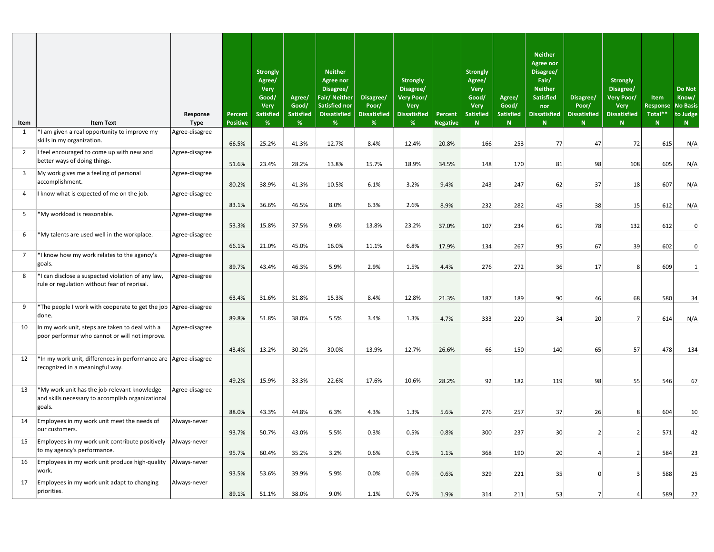| Item                    | <b>Item Text</b>                                                                                            | Response<br><b>Type</b> | Percent<br><b>Positive</b> | <b>Strongly</b><br>Agree/<br><b>Very</b><br>Good/<br><b>Very</b><br><b>Satisfied</b><br>% | Agree/<br>Good/<br><b>Satisfied</b><br>% | <b>Neither</b><br><b>Agree nor</b><br>Disagree/<br>Fair/ Neither<br><b>Satisfied nor</b><br><b>Dissatisfied</b><br>% | Disagree/<br>Poor/<br><b>Dissatisfied</b><br>% | <b>Strongly</b><br>Disagree/<br>Very Poor/<br>Very<br><b>Dissatisfied</b><br>% | Percent<br><b>Negative</b> | <b>Strongly</b><br>Agree/<br>Very<br>Good/<br>Very<br><b>Satisfied</b><br>N | Agree/<br>Good/<br><b>Satisfied</b><br>N | <b>Neither</b><br><b>Agree nor</b><br>Disagree/<br>Fair/<br><b>Neither</b><br><b>Satisfied</b><br>nor<br><b>Dissatisfied</b><br>N | Disagree/<br>Poor/<br><b>Dissatisfied</b><br>$\mathsf{N}$ | <b>Strongly</b><br>Disagree/<br>Very Poor/<br><b>Very</b><br><b>Dissatisfied</b><br>N | Item<br><b>Response</b><br>Total**<br>N | <b>Do Not</b><br>Know/<br><b>No Basis</b><br>to Judge<br>N |
|-------------------------|-------------------------------------------------------------------------------------------------------------|-------------------------|----------------------------|-------------------------------------------------------------------------------------------|------------------------------------------|----------------------------------------------------------------------------------------------------------------------|------------------------------------------------|--------------------------------------------------------------------------------|----------------------------|-----------------------------------------------------------------------------|------------------------------------------|-----------------------------------------------------------------------------------------------------------------------------------|-----------------------------------------------------------|---------------------------------------------------------------------------------------|-----------------------------------------|------------------------------------------------------------|
| 1                       | *I am given a real opportunity to improve my                                                                | Agree-disagree          |                            |                                                                                           |                                          |                                                                                                                      |                                                |                                                                                |                            |                                                                             |                                          |                                                                                                                                   |                                                           |                                                                                       |                                         |                                                            |
|                         | skills in my organization.                                                                                  |                         | 66.5%                      | 25.2%                                                                                     | 41.3%                                    | 12.7%                                                                                                                | 8.4%                                           | 12.4%                                                                          | 20.8%                      | 166                                                                         | 253                                      | 77                                                                                                                                | 47                                                        | 72                                                                                    | 615                                     | N/A                                                        |
| $\overline{2}$          | I feel encouraged to come up with new and                                                                   | Agree-disagree          |                            |                                                                                           |                                          |                                                                                                                      |                                                |                                                                                |                            |                                                                             |                                          |                                                                                                                                   |                                                           |                                                                                       |                                         |                                                            |
|                         | better ways of doing things.                                                                                |                         | 51.6%                      | 23.4%                                                                                     | 28.2%                                    | 13.8%                                                                                                                | 15.7%                                          | 18.9%                                                                          | 34.5%                      | 148                                                                         | 170                                      | 81                                                                                                                                | 98                                                        | 108                                                                                   | 605                                     | N/A                                                        |
| $\overline{\mathbf{3}}$ | My work gives me a feeling of personal                                                                      | Agree-disagree          |                            |                                                                                           |                                          |                                                                                                                      |                                                |                                                                                |                            |                                                                             |                                          |                                                                                                                                   |                                                           |                                                                                       |                                         |                                                            |
|                         | accomplishment.                                                                                             |                         | 80.2%                      | 38.9%                                                                                     | 41.3%                                    | 10.5%                                                                                                                | 6.1%                                           | 3.2%                                                                           | 9.4%                       | 243                                                                         | 247                                      | 62                                                                                                                                | 37                                                        | 18                                                                                    | 607                                     | N/A                                                        |
| 4                       | I know what is expected of me on the job.                                                                   | Agree-disagree          |                            |                                                                                           |                                          |                                                                                                                      |                                                |                                                                                |                            |                                                                             |                                          |                                                                                                                                   |                                                           |                                                                                       |                                         |                                                            |
|                         |                                                                                                             |                         | 83.1%                      | 36.6%                                                                                     | 46.5%                                    | 8.0%                                                                                                                 | 6.3%                                           | 2.6%                                                                           | 8.9%                       | 232                                                                         | 282                                      | 45                                                                                                                                | 38                                                        | 15                                                                                    | 612                                     | N/A                                                        |
| 5                       | *My workload is reasonable.                                                                                 | Agree-disagree          |                            |                                                                                           |                                          |                                                                                                                      |                                                |                                                                                |                            |                                                                             |                                          |                                                                                                                                   |                                                           |                                                                                       |                                         |                                                            |
|                         |                                                                                                             |                         | 53.3%                      | 15.8%                                                                                     | 37.5%                                    | 9.6%                                                                                                                 | 13.8%                                          | 23.2%                                                                          | 37.0%                      | 107                                                                         | 234                                      | 61                                                                                                                                | 78                                                        | 132                                                                                   | 612                                     | $\mathbf 0$                                                |
| 6                       | *My talents are used well in the workplace.                                                                 | Agree-disagree          |                            |                                                                                           |                                          |                                                                                                                      |                                                |                                                                                |                            |                                                                             |                                          |                                                                                                                                   |                                                           |                                                                                       |                                         |                                                            |
|                         |                                                                                                             |                         | 66.1%                      | 21.0%                                                                                     | 45.0%                                    | 16.0%                                                                                                                | 11.1%                                          | 6.8%                                                                           | 17.9%                      | 134                                                                         | 267                                      | 95                                                                                                                                | 67                                                        | 39                                                                                    | 602                                     | $\mathbf 0$                                                |
| $\overline{7}$          | *I know how my work relates to the agency's                                                                 | Agree-disagree          |                            |                                                                                           |                                          |                                                                                                                      |                                                |                                                                                |                            |                                                                             |                                          |                                                                                                                                   |                                                           |                                                                                       |                                         |                                                            |
|                         | goals.                                                                                                      |                         | 89.7%                      | 43.4%                                                                                     | 46.3%                                    | 5.9%                                                                                                                 | 2.9%                                           | 1.5%                                                                           | 4.4%                       | 276                                                                         | 272                                      | 36                                                                                                                                | 17                                                        | 8                                                                                     | 609                                     | $\mathbf{1}$                                               |
| 8                       | *I can disclose a suspected violation of any law,<br>rule or regulation without fear of reprisal.           | Agree-disagree          |                            |                                                                                           |                                          |                                                                                                                      |                                                |                                                                                |                            |                                                                             |                                          |                                                                                                                                   |                                                           |                                                                                       |                                         |                                                            |
|                         |                                                                                                             |                         | 63.4%                      | 31.6%                                                                                     | 31.8%                                    | 15.3%                                                                                                                | 8.4%                                           | 12.8%                                                                          | 21.3%                      | 187                                                                         | 189                                      | 90                                                                                                                                | 46                                                        | 68                                                                                    | 580                                     | 34                                                         |
| 9                       | *The people I work with cooperate to get the job Agree-disagree                                             |                         |                            |                                                                                           |                                          |                                                                                                                      |                                                |                                                                                |                            |                                                                             |                                          |                                                                                                                                   |                                                           |                                                                                       |                                         |                                                            |
|                         | done.                                                                                                       |                         | 89.8%                      | 51.8%                                                                                     | 38.0%                                    | 5.5%                                                                                                                 | 3.4%                                           | 1.3%                                                                           | 4.7%                       | 333                                                                         | 220                                      | 34                                                                                                                                | 20                                                        | 7                                                                                     | 614                                     | N/A                                                        |
| 10                      | In my work unit, steps are taken to deal with a<br>poor performer who cannot or will not improve.           | Agree-disagree          |                            |                                                                                           |                                          |                                                                                                                      |                                                |                                                                                |                            |                                                                             |                                          |                                                                                                                                   |                                                           |                                                                                       |                                         |                                                            |
|                         |                                                                                                             |                         | 43.4%                      | 13.2%                                                                                     | 30.2%                                    | 30.0%                                                                                                                | 13.9%                                          | 12.7%                                                                          | 26.6%                      | 66                                                                          | 150                                      | 140                                                                                                                               | 65                                                        | 57                                                                                    | 478                                     | 134                                                        |
| 12                      | *In my work unit, differences in performance are Agree-disagree<br>recognized in a meaningful way.          |                         |                            |                                                                                           |                                          |                                                                                                                      |                                                |                                                                                |                            |                                                                             |                                          |                                                                                                                                   |                                                           |                                                                                       |                                         |                                                            |
|                         |                                                                                                             |                         | 49.2%                      | 15.9%                                                                                     | 33.3%                                    | 22.6%                                                                                                                | 17.6%                                          | 10.6%                                                                          | 28.2%                      | 92                                                                          | 182                                      | 119                                                                                                                               | 98                                                        | 55                                                                                    | 546                                     | 67                                                         |
| 13                      | *My work unit has the job-relevant knowledge<br>and skills necessary to accomplish organizational<br>goals. | Agree-disagree          |                            | 43.3%                                                                                     | 44.8%                                    |                                                                                                                      |                                                |                                                                                |                            |                                                                             |                                          |                                                                                                                                   |                                                           |                                                                                       |                                         |                                                            |
| 14                      | Employees in my work unit meet the needs of                                                                 | Always-never            | 88.0%                      |                                                                                           |                                          | 6.3%                                                                                                                 | 4.3%                                           | 1.3%                                                                           | 5.6%                       | 276                                                                         | 257                                      | 37                                                                                                                                | 26                                                        | 8                                                                                     | 604                                     | 10                                                         |
|                         | our customers.                                                                                              |                         | 93.7%                      | 50.7%                                                                                     | 43.0%                                    | 5.5%                                                                                                                 | 0.3%                                           | 0.5%                                                                           | 0.8%                       | 300                                                                         | 237                                      | 30 <sup>°</sup>                                                                                                                   | $\overline{2}$                                            | $\overline{2}$                                                                        | 571                                     | 42                                                         |
| 15                      | Employees in my work unit contribute positively<br>to my agency's performance.                              | Always-never            | 95.7%                      | 60.4%                                                                                     | 35.2%                                    | 3.2%                                                                                                                 | 0.6%                                           | 0.5%                                                                           | 1.1%                       | 368                                                                         | 190                                      | 20                                                                                                                                | 4                                                         | $\overline{2}$                                                                        | 584                                     | 23                                                         |
| 16                      | Employees in my work unit produce high-quality                                                              | Always-never            |                            |                                                                                           |                                          |                                                                                                                      |                                                |                                                                                |                            |                                                                             |                                          |                                                                                                                                   |                                                           |                                                                                       |                                         |                                                            |
|                         | work.                                                                                                       |                         | 93.5%                      | 53.6%                                                                                     | 39.9%                                    | 5.9%                                                                                                                 | 0.0%                                           | 0.6%                                                                           | 0.6%                       | 329                                                                         | 221                                      | 35                                                                                                                                | $\overline{0}$                                            | $\overline{3}$                                                                        | 588                                     | 25                                                         |
| 17                      | Employees in my work unit adapt to changing                                                                 | Always-never            |                            |                                                                                           |                                          |                                                                                                                      |                                                |                                                                                |                            |                                                                             |                                          |                                                                                                                                   |                                                           |                                                                                       |                                         |                                                            |
|                         | priorities.                                                                                                 |                         | 89.1%                      | 51.1%                                                                                     | 38.0%                                    | 9.0%                                                                                                                 | 1.1%                                           | 0.7%                                                                           | 1.9%                       | 314                                                                         | 211                                      | 53                                                                                                                                | 7                                                         | 4                                                                                     | 589                                     | 22                                                         |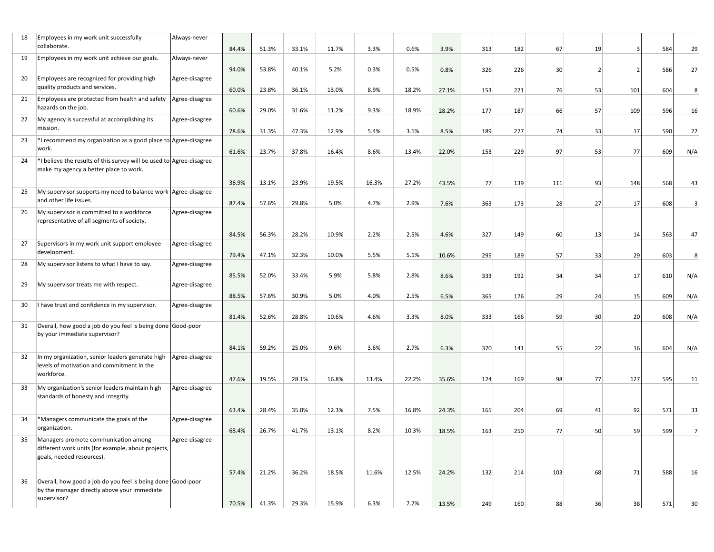| 18 | Employees in my work unit successfully<br>collaborate.                                                                  | Always-never   | 84.4% | 51.3% | 33.1% | 11.7% | 3.3%  | 0.6%  | 3.9%  | 313 | 182 | 67              | 19 |     | 584 | 29             |
|----|-------------------------------------------------------------------------------------------------------------------------|----------------|-------|-------|-------|-------|-------|-------|-------|-----|-----|-----------------|----|-----|-----|----------------|
| 19 | Employees in my work unit achieve our goals.                                                                            | Always-never   | 94.0% | 53.8% | 40.1% | 5.2%  | 0.3%  | 0.5%  | 0.8%  | 326 | 226 | 30 <sup>2</sup> | -2 |     | 586 | 27             |
| 20 | Employees are recognized for providing high<br>quality products and services.                                           | Agree-disagree | 60.0% | 23.8% | 36.1% | 13.0% | 8.9%  | 18.2% | 27.1% | 153 | 221 | 76              | 53 | 101 | 604 | 8              |
| 21 | Employees are protected from health and safety<br>hazards on the job.                                                   | Agree-disagree | 60.6% | 29.0% | 31.6% | 11.2% | 9.3%  | 18.9% | 28.2% | 177 | 187 | 66              | 57 | 109 | 596 | 16             |
| 22 | My agency is successful at accomplishing its<br>mission.                                                                | Agree-disagree | 78.6% | 31.3% | 47.3% | 12.9% | 5.4%  | 3.1%  | 8.5%  | 189 | 277 | 74              | 33 | 17  | 590 | 22             |
| 23 | *I recommend my organization as a good place to Agree-disagree<br>work.                                                 |                | 61.6% | 23.7% | 37.8% | 16.4% | 8.6%  | 13.4% | 22.0% | 153 | 229 | 97              | 53 | 77  | 609 | N/A            |
| 24 | *I believe the results of this survey will be used to Agree-disagree<br>make my agency a better place to work.          |                |       |       |       |       |       |       |       |     |     |                 |    |     |     |                |
|    |                                                                                                                         |                | 36.9% | 13.1% | 23.9% | 19.5% | 16.3% | 27.2% | 43.5% | 77  | 139 | 111             | 93 | 148 | 568 | 43             |
| 25 | My supervisor supports my need to balance work Agree-disagree<br>and other life issues.                                 |                | 87.4% | 57.6% | 29.8% | 5.0%  | 4.7%  | 2.9%  | 7.6%  | 363 | 173 | 28              | 27 | 17  | 608 | 3              |
| 26 | My supervisor is committed to a workforce<br>representative of all segments of society.                                 | Agree-disagree |       |       |       |       |       |       |       |     |     |                 |    |     |     |                |
|    |                                                                                                                         |                | 84.5% | 56.3% | 28.2% | 10.9% | 2.2%  | 2.5%  | 4.6%  | 327 | 149 | 60              | 13 | 14  | 563 | 47             |
| 27 | Supervisors in my work unit support employee<br>development.                                                            | Agree-disagree | 79.4% | 47.1% | 32.3% | 10.0% | 5.5%  | 5.1%  | 10.6% | 295 | 189 | 57              | 33 | 29  | 603 | 8              |
| 28 | My supervisor listens to what I have to say.                                                                            | Agree-disagree |       |       |       |       |       |       |       |     |     |                 |    |     |     |                |
| 29 | My supervisor treats me with respect.                                                                                   | Agree-disagree | 85.5% | 52.0% | 33.4% | 5.9%  | 5.8%  | 2.8%  | 8.6%  | 333 | 192 | 34              | 34 | 17  | 610 | N/A            |
|    |                                                                                                                         |                | 88.5% | 57.6% | 30.9% | 5.0%  | 4.0%  | 2.5%  | 6.5%  | 365 | 176 | 29              | 24 | 15  | 609 | N/A            |
| 30 | I have trust and confidence in my supervisor.                                                                           | Agree-disagree |       |       |       |       |       |       |       |     |     |                 |    |     |     |                |
|    |                                                                                                                         |                | 81.4% | 52.6% | 28.8% | 10.6% | 4.6%  | 3.3%  | 8.0%  | 333 | 166 | 59              | 30 | 20  | 608 | N/A            |
| 31 | Overall, how good a job do you feel is being done Good-poor<br>by your immediate supervisor?                            |                |       |       |       |       |       |       |       |     |     |                 |    |     |     |                |
|    |                                                                                                                         |                | 84.1% | 59.2% | 25.0% | 9.6%  | 3.6%  | 2.7%  | 6.3%  | 370 | 141 | 55              | 22 | 16  | 604 | N/A            |
| 32 | In my organization, senior leaders generate high<br>levels of motivation and commitment in the<br>workforce.            | Agree-disagree | 47.6% | 19.5% | 28.1% | 16.8% | 13.4% | 22.2% | 35.6% | 124 | 169 | 98              | 77 | 127 | 595 | 11             |
| 33 | My organization's senior leaders maintain high<br>standards of honesty and integrity.                                   | Agree-disagree |       |       |       |       |       |       |       |     |     |                 |    |     |     |                |
|    |                                                                                                                         |                | 63.4% | 28.4% | 35.0% | 12.3% | 7.5%  | 16.8% | 24.3% | 165 | 204 | 69              | 41 | 92  | 571 | 33             |
| 34 | *Managers communicate the goals of the<br>organization.                                                                 | Agree-disagree | 68.4% | 26.7% | 41.7% | 13.1% | 8.2%  | 10.3% | 18.5% | 163 | 250 | 77              | 50 | 59  | 599 | $\overline{7}$ |
| 35 | Managers promote communication among<br>different work units (for example, about projects,<br>goals, needed resources). | Agree-disagree |       |       |       |       |       |       |       |     |     |                 |    |     |     |                |
|    |                                                                                                                         |                | 57.4% | 21.2% | 36.2% | 18.5% | 11.6% | 12.5% | 24.2% | 132 | 214 | 103             | 68 | 71  | 588 | 16             |
| 36 | Overall, how good a job do you feel is being done Good-poor<br>by the manager directly above your immediate             |                |       |       |       |       |       |       |       |     |     |                 |    |     |     |                |
|    | supervisor?                                                                                                             |                | 70.5% | 41.3% | 29.3% | 15.9% | 6.3%  | 7.2%  | 13.5% | 249 | 160 | 88              | 36 | 38  | 571 | 30             |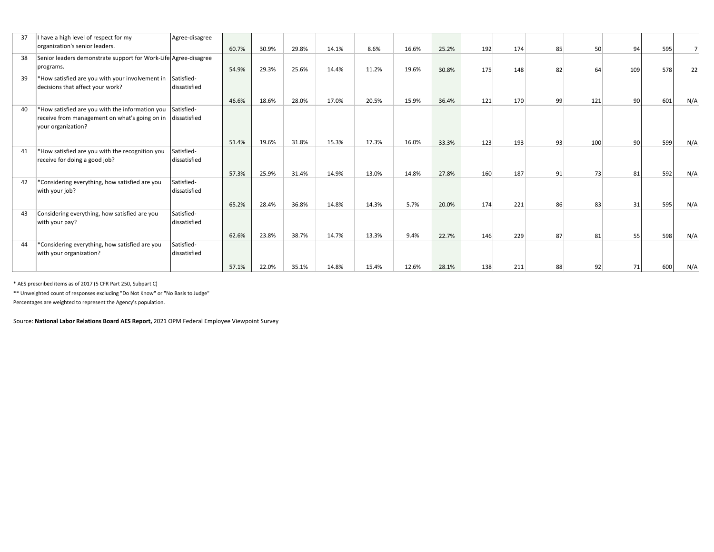| 37 | I have a high level of respect for my                           | Agree-disagree |       |       |       |       |       |       |       |     |     |    |     |     |     |     |
|----|-----------------------------------------------------------------|----------------|-------|-------|-------|-------|-------|-------|-------|-----|-----|----|-----|-----|-----|-----|
|    | organization's senior leaders.                                  |                | 60.7% | 30.9% | 29.8% | 14.1% | 8.6%  | 16.6% | 25.2% | 192 | 174 | 85 | 50  | 94  | 595 |     |
| 38 | Senior leaders demonstrate support for Work-Life Agree-disagree |                |       |       |       |       |       |       |       |     |     |    |     |     |     |     |
|    | programs.                                                       |                | 54.9% | 29.3% | 25.6% | 14.4% | 11.2% | 19.6% | 30.8% | 175 | 148 | 82 | 64  | 109 | 578 | 22  |
| 39 | *How satisfied are you with your involvement in                 | Satisfied-     |       |       |       |       |       |       |       |     |     |    |     |     |     |     |
|    | decisions that affect your work?                                | dissatisfied   |       |       |       |       |       |       |       |     |     |    |     |     |     |     |
|    |                                                                 |                | 46.6% | 18.6% | 28.0% | 17.0% | 20.5% | 15.9% | 36.4% | 121 | 170 | 99 | 121 | 90  | 601 | N/A |
| 40 | *How satisfied are you with the information you                 | Satisfied-     |       |       |       |       |       |       |       |     |     |    |     |     |     |     |
|    | receive from management on what's going on in                   | dissatisfied   |       |       |       |       |       |       |       |     |     |    |     |     |     |     |
|    | your organization?                                              |                |       |       |       |       |       |       |       |     |     |    |     |     |     |     |
|    |                                                                 |                | 51.4% | 19.6% | 31.8% | 15.3% | 17.3% | 16.0% | 33.3% | 123 | 193 | 93 | 100 | 90  | 599 | N/A |
| 41 | *How satisfied are you with the recognition you                 | Satisfied-     |       |       |       |       |       |       |       |     |     |    |     |     |     |     |
|    | receive for doing a good job?                                   | dissatisfied   |       |       |       |       |       |       |       |     |     |    |     |     |     |     |
|    |                                                                 |                | 57.3% | 25.9% | 31.4% | 14.9% | 13.0% | 14.8% | 27.8% | 160 | 187 | 91 | 73  | 81  | 592 | N/A |
| 42 | *Considering everything, how satisfied are you                  | Satisfied-     |       |       |       |       |       |       |       |     |     |    |     |     |     |     |
|    | with your job?                                                  | dissatisfied   |       |       |       |       |       |       |       |     |     |    |     |     |     |     |
|    |                                                                 |                | 65.2% | 28.4% | 36.8% | 14.8% | 14.3% | 5.7%  | 20.0% | 174 | 221 | 86 | 83  | 31  | 595 | N/A |
| 43 | Considering everything, how satisfied are you                   | Satisfied-     |       |       |       |       |       |       |       |     |     |    |     |     |     |     |
|    | with your pay?                                                  | dissatisfied   |       |       |       |       |       |       |       |     |     |    |     |     |     |     |
|    |                                                                 |                | 62.6% | 23.8% | 38.7% | 14.7% | 13.3% | 9.4%  | 22.7% | 146 | 229 | 87 | 81  | 55  | 598 | N/A |
| 44 | *Considering everything, how satisfied are you                  | Satisfied-     |       |       |       |       |       |       |       |     |     |    |     |     |     |     |
|    | with your organization?                                         | dissatisfied   |       |       |       |       |       |       |       |     |     |    |     |     |     |     |
|    |                                                                 |                | 57.1% | 22.0% | 35.1% | 14.8% | 15.4% | 12.6% | 28.1% | 138 | 211 | 88 | 92  | 71  | 600 | N/A |

\* AES prescribed items as of 2017 (5 CFR Part 250, Subpart C)

\*\* Unweighted count of responses excluding "Do Not Know" or "No Basis to Judge"

Percentages are weighted to represent the Agency's population.

Source: **National Labor Relations Board AES Report,** 2021 OPM Federal Employee Viewpoint Survey